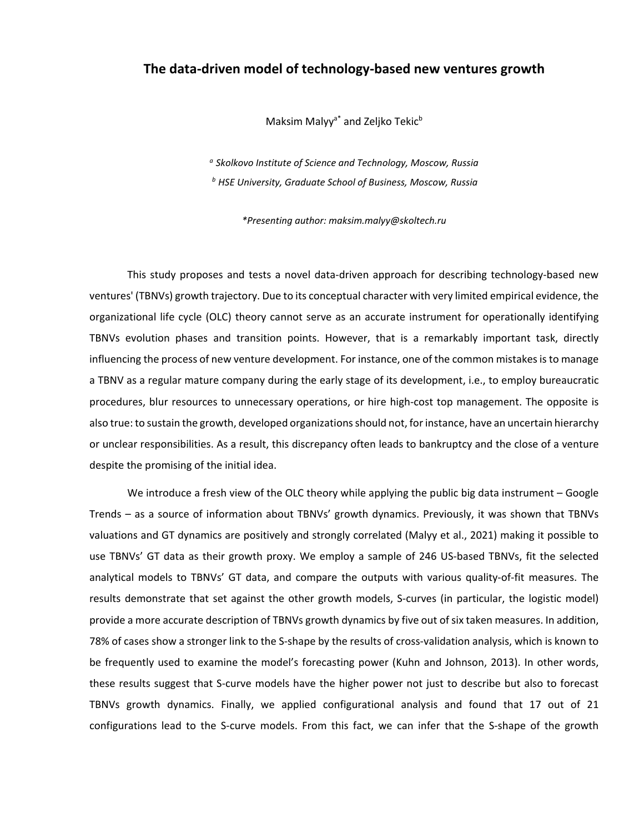## **The data-driven model of technology-based new ventures growth**

Maksim Malyy<sup>a\*</sup> and Zeljko Tekic<sup>b</sup>

*<sup>a</sup> Skolkovo Institute of Science and Technology, Moscow, Russia <sup>b</sup> HSE University, Graduate School of Business, Moscow, Russia*

*\*Presenting author: maksim.malyy@skoltech.ru*

This study proposes and tests a novel data-driven approach for describing technology-based new ventures' (TBNVs) growth trajectory. Due to its conceptual character with very limited empirical evidence, the organizational life cycle (OLC) theory cannot serve as an accurate instrument for operationally identifying TBNVs evolution phases and transition points. However, that is a remarkably important task, directly influencing the process of new venture development. For instance, one of the common mistakes is to manage a TBNV as a regular mature company during the early stage of its development, i.e., to employ bureaucratic procedures, blur resources to unnecessary operations, or hire high-cost top management. The opposite is also true: to sustain the growth, developed organizations should not, for instance, have an uncertain hierarchy or unclear responsibilities. As a result, this discrepancy often leads to bankruptcy and the close of a venture despite the promising of the initial idea.

We introduce a fresh view of the OLC theory while applying the public big data instrument – Google Trends – as a source of information about TBNVs' growth dynamics. Previously, it was shown that TBNVs valuations and GT dynamics are positively and strongly correlated (Malyy et al., 2021) making it possible to use TBNVs' GT data as their growth proxy. We employ a sample of 246 US-based TBNVs, fit the selected analytical models to TBNVs' GT data, and compare the outputs with various quality-of-fit measures. The results demonstrate that set against the other growth models, S-curves (in particular, the logistic model) provide a more accurate description of TBNVs growth dynamics by five out of six taken measures. In addition, 78% of cases show a stronger link to the S-shape by the results of cross-validation analysis, which is known to be frequently used to examine the model's forecasting power (Kuhn and Johnson, 2013). In other words, these results suggest that S-curve models have the higher power not just to describe but also to forecast TBNVs growth dynamics. Finally, we applied configurational analysis and found that 17 out of 21 configurations lead to the S-curve models. From this fact, we can infer that the S-shape of the growth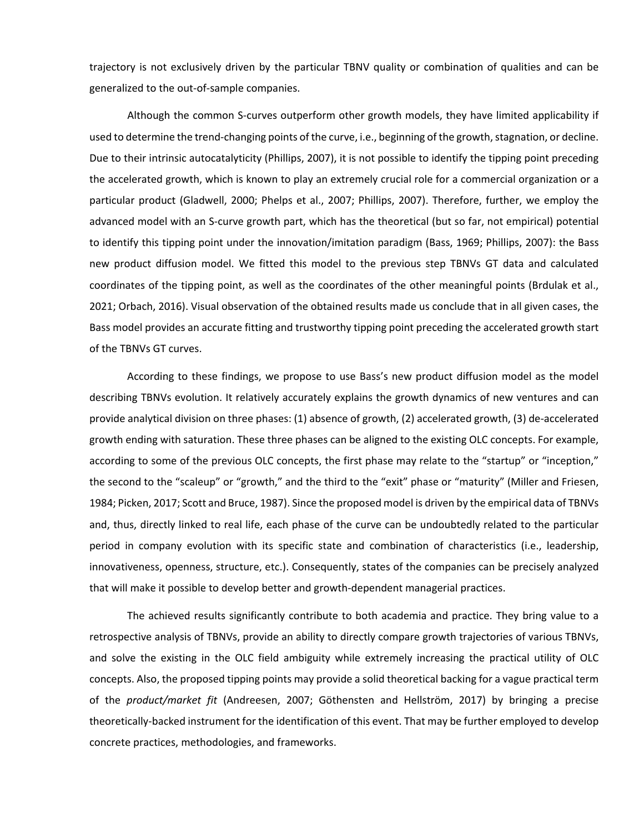trajectory is not exclusively driven by the particular TBNV quality or combination of qualities and can be generalized to the out-of-sample companies.

Although the common S-curves outperform other growth models, they have limited applicability if used to determine the trend-changing points of the curve, i.e., beginning of the growth, stagnation, or decline. Due to their intrinsic autocatalyticity (Phillips, 2007), it is not possible to identify the tipping point preceding the accelerated growth, which is known to play an extremely crucial role for a commercial organization or a particular product (Gladwell, 2000; Phelps et al., 2007; Phillips, 2007). Therefore, further, we employ the advanced model with an S-curve growth part, which has the theoretical (but so far, not empirical) potential to identify this tipping point under the innovation/imitation paradigm (Bass, 1969; Phillips, 2007): the Bass new product diffusion model. We fitted this model to the previous step TBNVs GT data and calculated coordinates of the tipping point, as well as the coordinates of the other meaningful points (Brdulak et al., 2021; Orbach, 2016). Visual observation of the obtained results made us conclude that in all given cases, the Bass model provides an accurate fitting and trustworthy tipping point preceding the accelerated growth start of the TBNVs GT curves.

According to these findings, we propose to use Bass's new product diffusion model as the model describing TBNVs evolution. It relatively accurately explains the growth dynamics of new ventures and can provide analytical division on three phases: (1) absence of growth, (2) accelerated growth, (3) de-accelerated growth ending with saturation. These three phases can be aligned to the existing OLC concepts. For example, according to some of the previous OLC concepts, the first phase may relate to the "startup" or "inception," the second to the "scaleup" or "growth," and the third to the "exit" phase or "maturity" (Miller and Friesen, 1984; Picken, 2017; Scott and Bruce, 1987). Since the proposed model is driven by the empirical data of TBNVs and, thus, directly linked to real life, each phase of the curve can be undoubtedly related to the particular period in company evolution with its specific state and combination of characteristics (i.e., leadership, innovativeness, openness, structure, etc.). Consequently, states of the companies can be precisely analyzed that will make it possible to develop better and growth-dependent managerial practices.

The achieved results significantly contribute to both academia and practice. They bring value to a retrospective analysis of TBNVs, provide an ability to directly compare growth trajectories of various TBNVs, and solve the existing in the OLC field ambiguity while extremely increasing the practical utility of OLC concepts. Also, the proposed tipping points may provide a solid theoretical backing for a vague practical term of the *product/market fit* (Andreesen, 2007; Göthensten and Hellström, 2017) by bringing a precise theoretically-backed instrument for the identification of this event. That may be further employed to develop concrete practices, methodologies, and frameworks.